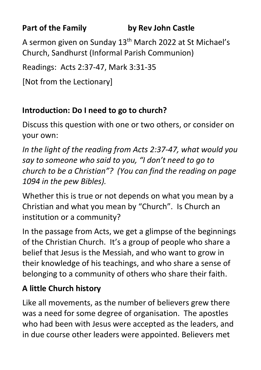**Part of the Family by Rev John Castle**

A sermon given on Sunday 13th March 2022 at St Michael's Church, Sandhurst (Informal Parish Communion)

Readings: Acts 2:37-47, Mark 3:31-35

[Not from the Lectionary]

## **Introduction: Do I need to go to church?**

Discuss this question with one or two others, or consider on your own:

*In the light of the reading from Acts 2:37-47, what would you say to someone who said to you, "I don't need to go to church to be a Christian"? (You can find the reading on page 1094 in the pew Bibles).*

Whether this is true or not depends on what you mean by a Christian and what you mean by "Church". Is Church an institution or a community?

In the passage from Acts, we get a glimpse of the beginnings of the Christian Church. It's a group of people who share a belief that Jesus is the Messiah, and who want to grow in their knowledge of his teachings, and who share a sense of belonging to a community of others who share their faith.

## **A little Church history**

Like all movements, as the number of believers grew there was a need for some degree of organisation. The apostles who had been with Jesus were accepted as the leaders, and in due course other leaders were appointed. Believers met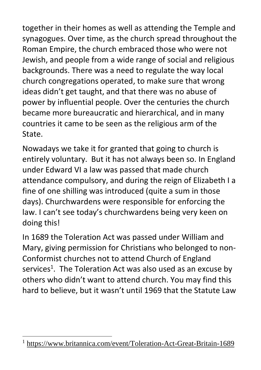together in their homes as well as attending the Temple and synagogues. Over time, as the church spread throughout the Roman Empire, the church embraced those who were not Jewish, and people from a wide range of social and religious backgrounds. There was a need to regulate the way local church congregations operated, to make sure that wrong ideas didn't get taught, and that there was no abuse of power by influential people. Over the centuries the church became more bureaucratic and hierarchical, and in many countries it came to be seen as the religious arm of the State.

Nowadays we take it for granted that going to church is entirely voluntary. But it has not always been so. In England under Edward VI a law was passed that made church attendance compulsory, and during the reign of Elizabeth I a fine of one shilling was introduced (quite a sum in those days). Churchwardens were responsible for enforcing the law. I can't see today's churchwardens being very keen on doing this!

In 1689 the Toleration Act was passed under William and Mary, giving permission for Christians who belonged to non-Conformist churches not to attend Church of England services<sup>1</sup>. The Toleration Act was also used as an excuse by others who didn't want to attend church. You may find this hard to believe, but it wasn't until 1969 that the Statute Law

<sup>&</sup>lt;sup>1</sup> <https://www.britannica.com/event/Toleration-Act-Great-Britain-1689>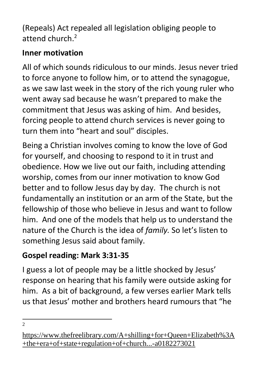(Repeals) Act repealed all legislation obliging people to attend church. 2

# **Inner motivation**

All of which sounds ridiculous to our minds. Jesus never tried to force anyone to follow him, or to attend the synagogue, as we saw last week in the story of the rich young ruler who went away sad because he wasn't prepared to make the commitment that Jesus was asking of him. And besides, forcing people to attend church services is never going to turn them into "heart and soul" disciples.

Being a Christian involves coming to know the love of God for yourself, and choosing to respond to it in trust and obedience. How we live out our faith, including attending worship, comes from our inner motivation to know God better and to follow Jesus day by day. The church is not fundamentally an institution or an arm of the State, but the fellowship of those who believe in Jesus and want to follow him. And one of the models that help us to understand the nature of the Church is the idea of *family.* So let's listen to something Jesus said about family.

# **Gospel reading: Mark 3:31-35**

I guess a lot of people may be a little shocked by Jesus' response on hearing that his family were outside asking for him. As a bit of background, a few verses earlier Mark tells us that Jesus' mother and brothers heard rumours that "he

 $\overline{2}$ 

[https://www.thefreelibrary.com/A+shilling+for+Queen+Elizabeth%3A](https://www.thefreelibrary.com/A+shilling+for+Queen+Elizabeth%3A+the+era+of+state+regulation+of+church...-a0182273021) [+the+era+of+state+regulation+of+church...-a0182273021](https://www.thefreelibrary.com/A+shilling+for+Queen+Elizabeth%3A+the+era+of+state+regulation+of+church...-a0182273021)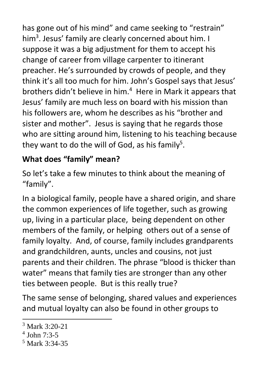has gone out of his mind" and came seeking to "restrain" him<sup>3</sup>. Jesus' family are clearly concerned about him. I suppose it was a big adjustment for them to accept his change of career from village carpenter to itinerant preacher. He's surrounded by crowds of people, and they think it's all too much for him. John's Gospel says that Jesus' brothers didn't believe in him. <sup>4</sup> Here in Mark it appears that Jesus' family are much less on board with his mission than his followers are, whom he describes as his "brother and sister and mother". Jesus is saying that he regards those who are sitting around him, listening to his teaching because they want to do the will of God, as his family<sup>5</sup>.

## **What does "family" mean?**

So let's take a few minutes to think about the meaning of "family".

In a biological family, people have a shared origin, and share the common experiences of life together, such as growing up, living in a particular place, being dependent on other members of the family, or helping others out of a sense of family loyalty. And, of course, family includes grandparents and grandchildren, aunts, uncles and cousins, not just parents and their children. The phrase "blood is thicker than water" means that family ties are stronger than any other ties between people. But is this really true?

The same sense of belonging, shared values and experiences and mutual loyalty can also be found in other groups to

 $3$  Mark 3:20-21

<sup>4</sup> John 7:3-5

<sup>5</sup> Mark 3:34-35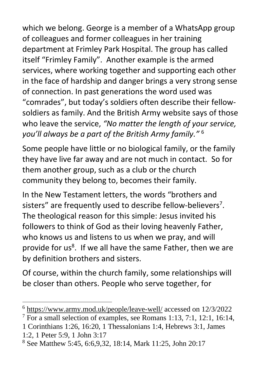which we belong. George is a member of a WhatsApp group of colleagues and former colleagues in her training department at Frimley Park Hospital. The group has called itself "Frimley Family". Another example is the armed services, where working together and supporting each other in the face of hardship and danger brings a very strong sense of connection. In past generations the word used was "comrades", but today's soldiers often describe their fellowsoldiers as family. And the British Army website says of those who leave the service, *"No matter the length of your service, you'll always be a part of the British Army family."* 6

Some people have little or no biological family, or the family they have live far away and are not much in contact. So for them another group, such as a club or the church community they belong to, becomes their family.

In the New Testament letters, the words "brothers and sisters" are frequently used to describe fellow-believers<sup>7</sup>. The theological reason for this simple: Jesus invited his followers to think of God as their loving heavenly Father, who knows us and listens to us when we pray, and will provide for us<sup>8</sup>. If we all have the same Father, then we are by definition brothers and sisters.

Of course, within the church family, some relationships will be closer than others. People who serve together, for

1 Corinthians 1:26, 16:20, 1 Thessalonians 1:4, Hebrews 3:1, James 1:2, 1 Peter 5:9, 1 John 3:17

<sup>6</sup> <https://www.army.mod.uk/people/leave-well/> accessed on 12/3/2022

 $7$  For a small selection of examples, see Romans 1:13, 7:1, 12:1, 16:14,

<sup>8</sup> See Matthew 5:45, 6:6,9,32, 18:14, Mark 11:25, John 20:17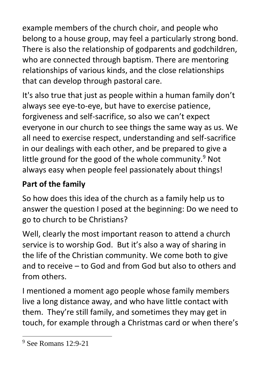example members of the church choir, and people who belong to a house group, may feel a particularly strong bond. There is also the relationship of godparents and godchildren, who are connected through baptism. There are mentoring relationships of various kinds, and the close relationships that can develop through pastoral care.

It's also true that just as people within a human family don't always see eye-to-eye, but have to exercise patience, forgiveness and self-sacrifice, so also we can't expect everyone in our church to see things the same way as us. We all need to exercise respect, understanding and self-sacrifice in our dealings with each other, and be prepared to give a little ground for the good of the whole community. $9$  Not always easy when people feel passionately about things!

# **Part of the family**

So how does this idea of the church as a family help us to answer the question I posed at the beginning: Do we need to go to church to be Christians?

Well, clearly the most important reason to attend a church service is to worship God. But it's also a way of sharing in the life of the Christian community. We come both to give and to receive – to God and from God but also to others and from others.

I mentioned a moment ago people whose family members live a long distance away, and who have little contact with them. They're still family, and sometimes they may get in touch, for example through a Christmas card or when there's

<sup>9</sup> See Romans 12:9-21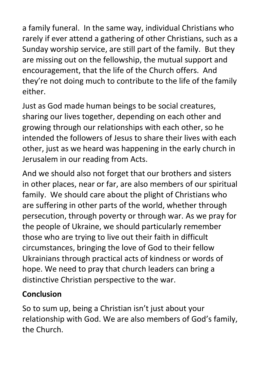a family funeral. In the same way, individual Christians who rarely if ever attend a gathering of other Christians, such as a Sunday worship service, are still part of the family. But they are missing out on the fellowship, the mutual support and encouragement, that the life of the Church offers. And they're not doing much to contribute to the life of the family either.

Just as God made human beings to be social creatures, sharing our lives together, depending on each other and growing through our relationships with each other, so he intended the followers of Jesus to share their lives with each other, just as we heard was happening in the early church in Jerusalem in our reading from Acts.

And we should also not forget that our brothers and sisters in other places, near or far, are also members of our spiritual family. We should care about the plight of Christians who are suffering in other parts of the world, whether through persecution, through poverty or through war. As we pray for the people of Ukraine, we should particularly remember those who are trying to live out their faith in difficult circumstances, bringing the love of God to their fellow Ukrainians through practical acts of kindness or words of hope. We need to pray that church leaders can bring a distinctive Christian perspective to the war.

## **Conclusion**

So to sum up, being a Christian isn't just about your relationship with God. We are also members of God's family, the Church.